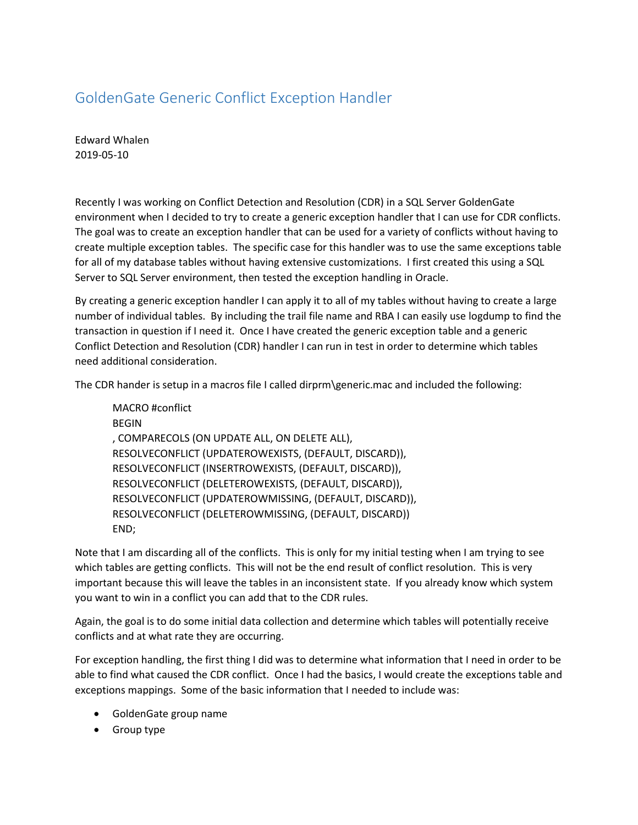## GoldenGate Generic Conflict Exception Handler

Edward Whalen 2019-05-10

Recently I was working on Conflict Detection and Resolution (CDR) in a SQL Server GoldenGate environment when I decided to try to create a generic exception handler that I can use for CDR conflicts. The goal was to create an exception handler that can be used for a variety of conflicts without having to create multiple exception tables. The specific case for this handler was to use the same exceptions table for all of my database tables without having extensive customizations. I first created this using a SQL Server to SQL Server environment, then tested the exception handling in Oracle.

By creating a generic exception handler I can apply it to all of my tables without having to create a large number of individual tables. By including the trail file name and RBA I can easily use logdump to find the transaction in question if I need it. Once I have created the generic exception table and a generic Conflict Detection and Resolution (CDR) handler I can run in test in order to determine which tables need additional consideration.

The CDR hander is setup in a macros file I called dirprm\generic.mac and included the following:

MACRO #conflict BEGIN , COMPARECOLS (ON UPDATE ALL, ON DELETE ALL), RESOLVECONFLICT (UPDATEROWEXISTS, (DEFAULT, DISCARD)), RESOLVECONFLICT (INSERTROWEXISTS, (DEFAULT, DISCARD)), RESOLVECONFLICT (DELETEROWEXISTS, (DEFAULT, DISCARD)), RESOLVECONFLICT (UPDATEROWMISSING, (DEFAULT, DISCARD)), RESOLVECONFLICT (DELETEROWMISSING, (DEFAULT, DISCARD)) END;

Note that I am discarding all of the conflicts. This is only for my initial testing when I am trying to see which tables are getting conflicts. This will not be the end result of conflict resolution. This is very important because this will leave the tables in an inconsistent state. If you already know which system you want to win in a conflict you can add that to the CDR rules.

Again, the goal is to do some initial data collection and determine which tables will potentially receive conflicts and at what rate they are occurring.

For exception handling, the first thing I did was to determine what information that I need in order to be able to find what caused the CDR conflict. Once I had the basics, I would create the exceptions table and exceptions mappings. Some of the basic information that I needed to include was:

- GoldenGate group name
- Group type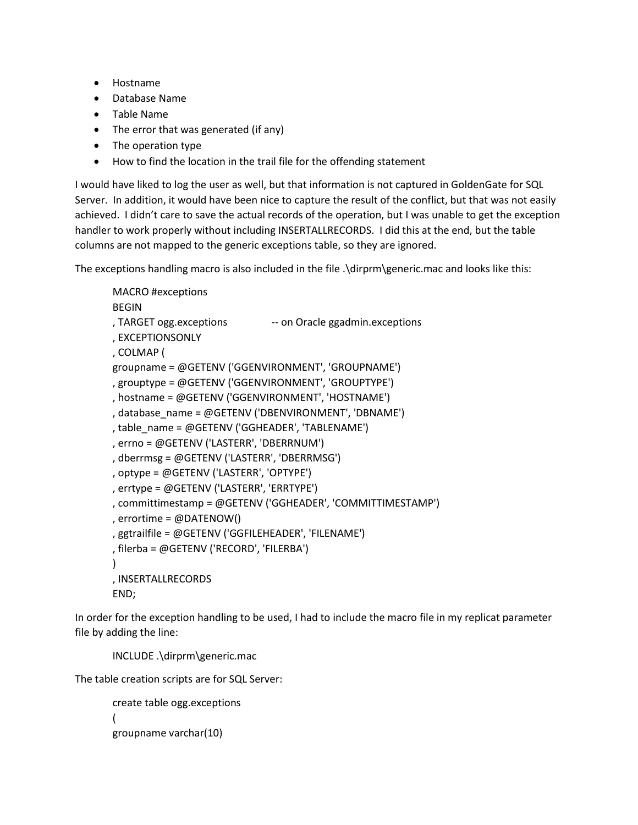- Hostname
- Database Name
- Table Name
- The error that was generated (if any)
- The operation type
- How to find the location in the trail file for the offending statement

I would have liked to log the user as well, but that information is not captured in GoldenGate for SQL Server. In addition, it would have been nice to capture the result of the conflict, but that was not easily achieved. I didn't care to save the actual records of the operation, but I was unable to get the exception handler to work properly without including INSERTALLRECORDS. I did this at the end, but the table columns are not mapped to the generic exceptions table, so they are ignored.

The exceptions handling macro is also included in the file .\dirprm\generic.mac and looks like this:

```
MACRO #exceptions
BEGIN
, TARGET ogg.exceptions -- on Oracle ggadmin.exceptions
, EXCEPTIONSONLY
, COLMAP (
groupname = @GETENV ('GGENVIRONMENT', 'GROUPNAME')
, grouptype = @GETENV ('GGENVIRONMENT', 'GROUPTYPE')
, hostname = @GETENV ('GGENVIRONMENT', 'HOSTNAME')
, database_name = @GETENV ('DBENVIRONMENT', 'DBNAME')
, table_name = @GETENV ('GGHEADER', 'TABLENAME')
, errno = @GETENV ('LASTERR', 'DBERRNUM')
, dberrmsg = @GETENV ('LASTERR', 'DBERRMSG')
, optype = @GETENV ('LASTERR', 'OPTYPE')
, errtype = @GETENV ('LASTERR', 'ERRTYPE')
, committimestamp = @GETENV ('GGHEADER', 'COMMITTIMESTAMP')
, errortime = @DATENOW()
, ggtrailfile = @GETENV ('GGFILEHEADER', 'FILENAME')
, filerba = @GETENV ('RECORD', 'FILERBA')
\lambda, INSERTALLRECORDS
```
END;

In order for the exception handling to be used, I had to include the macro file in my replicat parameter file by adding the line:

INCLUDE .\dirprm\generic.mac

The table creation scripts are for SQL Server:

```
create table ogg.exceptions
( 
groupname varchar(10)
```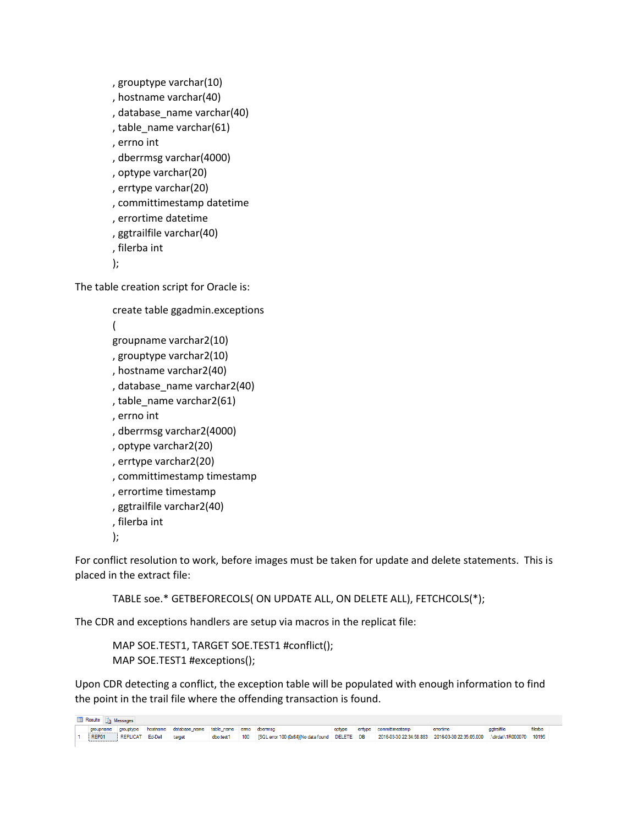```
, grouptype varchar(10)
```
- , hostname varchar(40)
- , database\_name varchar(40)
- , table\_name varchar(61)
- , errno int
- , dberrmsg varchar(4000)
- , optype varchar(20)
- , errtype varchar(20)
- , committimestamp datetime
- , errortime datetime
- , ggtrailfile varchar(40)
- , filerba int
- );

The table creation script for Oracle is:

```
create table ggadmin.exceptions
```
(

- groupname varchar2(10)
- , grouptype varchar2(10)
- , hostname varchar2(40)
- , database\_name varchar2(40)
- , table\_name varchar2(61)
- , errno int
- , dberrmsg varchar2(4000)
- , optype varchar2(20)
- , errtype varchar2(20)
- , committimestamp timestamp
- , errortime timestamp
- , ggtrailfile varchar2(40)
- , filerba int

);

For conflict resolution to work, before images must be taken for update and delete statements. This is placed in the extract file:

TABLE soe.\* GETBEFORECOLS( ON UPDATE ALL, ON DELETE ALL), FETCHCOLS(\*);

The CDR and exceptions handlers are setup via macros in the replicat file:

MAP SOE.TEST1, TARGET SOE.TEST1 #conflict(); MAP SOE.TEST1 #exceptions();

Upon CDR detecting a conflict, the exception table will be populated with enough information to find the point in the trail file where the offending transaction is found.

| <b>Results Research</b> Messages |           |                  |  |                                                |           |  |                                                   |        |  |                                                                          |           |             |         |
|----------------------------------|-----------|------------------|--|------------------------------------------------|-----------|--|---------------------------------------------------|--------|--|--------------------------------------------------------------------------|-----------|-------------|---------|
|                                  | groupname | grouptype        |  | hostname database name table name emno dbemmsg |           |  |                                                   | optype |  | entype committimestamp                                                   | errortime | agtrailfile | filerba |
|                                  | REP01     | REPLICAT Ed-Dell |  | target                                         | dbo.test1 |  | 100 ISQL error 100 (0x64) No data found DELETE DB |        |  | 2016-03-30 22:34:58.883 2016-03-30 22:35:05.000 . \dirdat\1R000070 10195 |           |             |         |